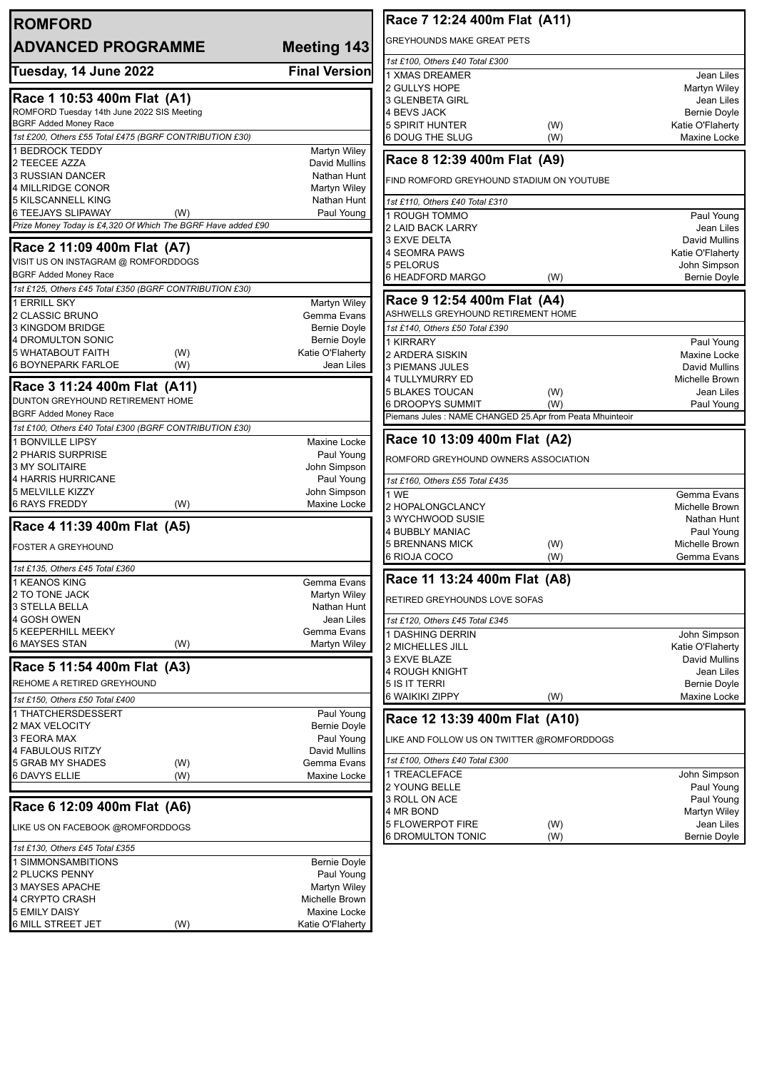| <b>ROMFORD</b>                                                   |                                    | Race 7 12:24 400m Flat (A11)                                      |                                         |
|------------------------------------------------------------------|------------------------------------|-------------------------------------------------------------------|-----------------------------------------|
| <b>ADVANCED PROGRAMME</b>                                        | Meeting 143                        | <b>GREYHOUNDS MAKE GREAT PETS</b>                                 |                                         |
|                                                                  |                                    | 1st £100, Others £40 Total £300                                   |                                         |
| Tuesday, 14 June 2022                                            | <b>Final Version</b>               | 1 XMAS DREAMER                                                    | Jean Liles                              |
| Race 1 10:53 400m Flat (A1)                                      |                                    | 2 GULLYS HOPE                                                     | Martyn Wiley                            |
| ROMFORD Tuesday 14th June 2022 SIS Meeting                       |                                    | 3 GLENBETA GIRL                                                   | Jean Liles                              |
| <b>BGRF Added Money Race</b>                                     |                                    | 4 BEVS JACK<br><b>5 SPIRIT HUNTER</b><br>(W)                      | <b>Bernie Doyle</b><br>Katie O'Flaherty |
| 1st £200, Others £55 Total £475 (BGRF CONTRIBUTION £30)          |                                    | 6 DOUG THE SLUG<br>(W)                                            | Maxine Locke                            |
| <b>1 BEDROCK TEDDY</b>                                           | <b>Martyn Wiley</b>                |                                                                   |                                         |
| 2 TEECEE AZZA                                                    | David Mullins                      | Race 8 12:39 400m Flat (A9)                                       |                                         |
| 3 RUSSIAN DANCER                                                 | Nathan Hunt                        | FIND ROMFORD GREYHOUND STADIUM ON YOUTUBE                         |                                         |
| 4 MILLRIDGE CONOR                                                | Martyn Wiley                       |                                                                   |                                         |
| 5 KILSCANNELL KING<br>6 TEEJAYS SLIPAWAY<br>(W)                  | Nathan Hunt<br>Paul Young          | 1st £110, Others £40 Total £310                                   |                                         |
| Prize Money Today is £4,320 Of Which The BGRF Have added £90     |                                    | 1 ROUGH TOMMO<br><b>2 LAID BACK LARRY</b>                         | Paul Young<br>Jean Liles                |
|                                                                  |                                    | 3 EXVE DELTA                                                      | David Mullins                           |
| Race 2 11:09 400m Flat (A7)                                      |                                    | 4 SEOMRA PAWS                                                     | Katie O'Flaherty                        |
| VISIT US ON INSTAGRAM @ ROMFORDDOGS                              |                                    | 5 PELORUS                                                         | John Simpson                            |
| <b>BGRF Added Money Race</b>                                     |                                    | 6 HEADFORD MARGO<br>(W)                                           | <b>Bernie Doyle</b>                     |
| 1st £125, Others £45 Total £350 (BGRF CONTRIBUTION £30)          |                                    |                                                                   |                                         |
| 1 ERRILL SKY                                                     | <b>Martyn Wiley</b>                | Race 9 12:54 400m Flat (A4)<br>ASHWELLS GREYHOUND RETIREMENT HOME |                                         |
| 2 CLASSIC BRUNO<br>3 KINGDOM BRIDGE                              | Gemma Evans<br><b>Bernie Doyle</b> | 1st £140, Others £50 Total £390                                   |                                         |
| 4 DROMULTON SONIC                                                | <b>Bernie Doyle</b>                | 1 KIRRARY                                                         | Paul Young                              |
| 5 WHATABOUT FAITH<br>(W)                                         | Katie O'Flaherty                   | 2 ARDERA SISKIN                                                   | Maxine Locke                            |
| (W)<br><b>6 BOYNEPARK FARLOE</b>                                 | Jean Liles                         | 3 PIEMANS JULES                                                   | David Mullins                           |
|                                                                  |                                    | 4 TULLYMURRY ED                                                   | Michelle Brown                          |
| Race 3 11:24 400m Flat (A11)<br>DUNTON GREYHOUND RETIREMENT HOME |                                    | <b>5 BLAKES TOUCAN</b><br>(W)                                     | Jean Liles                              |
| <b>BGRF Added Money Race</b>                                     |                                    | <b>6 DROOPYS SUMMIT</b><br>(W)                                    | Paul Young                              |
| 1st £100, Others £40 Total £300 (BGRF CONTRIBUTION £30)          |                                    | Piemans Jules : NAME CHANGED 25.Apr from Peata Mhuinteoir         |                                         |
| 1 BONVILLE LIPSY                                                 | Maxine Locke                       | Race 10 13:09 400m Flat (A2)                                      |                                         |
| 2 PHARIS SURPRISE                                                | Paul Young                         |                                                                   |                                         |
| 3 MY SOLITAIRE                                                   | John Simpson                       | ROMFORD GREYHOUND OWNERS ASSOCIATION                              |                                         |
| 4 HARRIS HURRICANE                                               | Paul Young                         | 1st £160, Others £55 Total £435                                   |                                         |
| 5 MELVILLE KIZZY                                                 | John Simpson                       | 1 WE                                                              | Gemma Evans                             |
| <b>6 RAYS FREDDY</b><br>(W)                                      | Maxine Locke                       | 2 HOPALONGCLANCY                                                  | Michelle Brown                          |
| Race 4 11:39 400m Flat (A5)                                      |                                    | 3 WYCHWOOD SUSIE<br>4 BUBBLY MANIAC                               | Nathan Hunt                             |
|                                                                  |                                    | <b>5 BRENNANS MICK</b><br>(W)                                     | Paul Young<br>Michelle Brown            |
| <b>FOSTER A GREYHOUND</b>                                        |                                    | 6 RIOJA COCO<br>(W)                                               | Gemma Evans                             |
| 1st £135, Others £45 Total £360                                  |                                    |                                                                   |                                         |
| 1 KEANOS KING                                                    | Gemma Evans                        | Race 11 13:24 400m Flat (A8)                                      |                                         |
| 2 TO TONE JACK                                                   | Martyn Wiley                       | RETIRED GREYHOUNDS LOVE SOFAS                                     |                                         |
| <b>3 STELLA BELLA</b>                                            | Nathan Hunt<br>Jean Liles          |                                                                   |                                         |
| 4 GOSH OWEN<br><b>5 KEEPERHILL MEEKY</b>                         | Gemma Evans                        | 1st £120, Others £45 Total £345                                   |                                         |
| 6 MAYSES STAN<br>(W)                                             | <b>Martyn Wiley</b>                | 1 DASHING DERRIN<br>2 MICHELLES JILL                              | John Simpson<br>Katie O'Flaherty        |
|                                                                  |                                    | 3 EXVE BLAZE                                                      | David Mullins                           |
| Race 5 11:54 400m Flat (A3)                                      |                                    | 4 ROUGH KNIGHT                                                    | Jean Liles                              |
| REHOME A RETIRED GREYHOUND                                       |                                    | 5 IS IT TERRI                                                     | <b>Bernie Doyle</b>                     |
| 1st £150, Others £50 Total £400                                  |                                    | 6 WAIKIKI ZIPPY<br>(W)                                            | Maxine Locke                            |
| 1 THATCHERSDESSERT                                               | Paul Young                         | Race 12 13:39 400m Flat (A10)                                     |                                         |
| 2 MAX VELOCITY                                                   | <b>Bernie Doyle</b>                |                                                                   |                                         |
| 3 FEORA MAX                                                      | Paul Young                         | LIKE AND FOLLOW US ON TWITTER @ROMFORDDOGS                        |                                         |
| 4 FABULOUS RITZY<br>5 GRAB MY SHADES<br>(W)                      | David Mullins<br>Gemma Evans       | 1st £100, Others £40 Total £300                                   |                                         |
| 6 DAVYS ELLIE<br>(W)                                             | Maxine Locke                       | 1 TREACLEFACE                                                     | John Simpson                            |
|                                                                  |                                    | 2 YOUNG BELLE                                                     | Paul Young                              |
| Race 6 12:09 400m Flat (A6)                                      |                                    | 3 ROLL ON ACE                                                     | Paul Young                              |
|                                                                  |                                    | 4 MR BOND                                                         | Martyn Wiley                            |
| LIKE US ON FACEBOOK @ROMFORDDOGS                                 |                                    | <b>5 FLOWERPOT FIRE</b><br>(W)<br><b>6 DROMULTON TONIC</b><br>(W) | Jean Liles<br><b>Bernie Doyle</b>       |
| 1st £130, Others £45 Total £355                                  |                                    |                                                                   |                                         |
| 1 SIMMONSAMBITIONS                                               | Bernie Doyle                       |                                                                   |                                         |
| 2 PLUCKS PENNY<br>3 MAYSES APACHE                                | Paul Young<br>Martyn Wiley         |                                                                   |                                         |
| 4 CRYPTO CRASH                                                   | Michelle Brown                     |                                                                   |                                         |
| <b>5 EMILY DAISY</b>                                             | Maxine Locke                       |                                                                   |                                         |
| 6 MILL STREET JET<br>(W)                                         | Katie O'Flaherty                   |                                                                   |                                         |
|                                                                  |                                    |                                                                   |                                         |